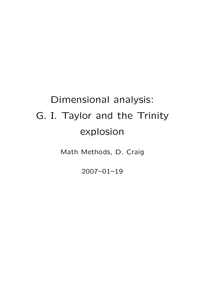## Dimensional analysis: G. I. Taylor and the Trinity explosion

Math Methods, D. Craig

2007–01–19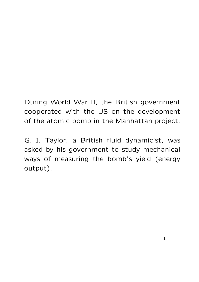During World War II, the British government cooperated with the US on the development of the atomic bomb in the Manhattan project.

G. I. Taylor, a British fluid dynamicist, was asked by his government to study mechanical ways of measuring the bomb's yield (energy output).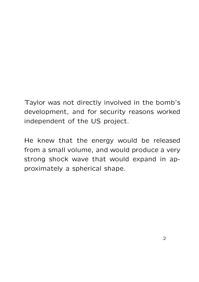Taylor was not directly involved in the bomb's development, and for security reasons worked independent of the US project.

He knew that the energy would be released from a small volume, and would produce a very strong shock wave that would expand in approximately a spherical shape.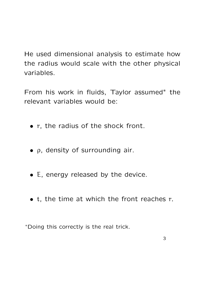He used dimensional analysis to estimate how the radius would scale with the other physical variables.

From his work in fluids, Taylor assumed<sup>\*</sup> the relevant variables would be:

- r, the radius of the shock front.
- ρ, density of surrounding air.
- E, energy released by the device.
- t, the time at which the front reaches r.

<sup>∗</sup>Doing this correctly is the real trick.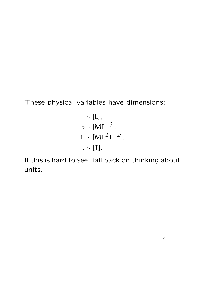These physical variables have dimensions:

$$
r \sim [L],
$$
  
\n
$$
\rho \sim [ML^{-3}],
$$
  
\n
$$
E \sim [ML^{2}T^{-2}],
$$
  
\n
$$
t \sim [T].
$$

If this is hard to see, fall back on thinking about units.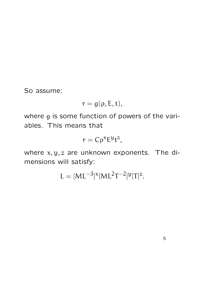So assume:

$$
r=g(\rho,E,t),
$$

where g is some function of powers of the variables. This means that

$$
r = C\rho^{\chi}E^{\mathcal{Y}}t^{z},
$$

where  $x, y, z$  are unknown exponents. The dimensions will satisfy:

$$
L = [ML^{-3}]^x [ML^2T^{-2}]^y [T]^z.
$$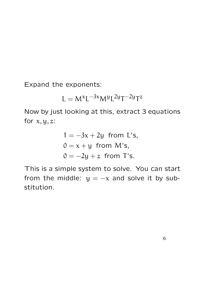Expand the exponents:

$$
L=M^{\varkappa}L^{-3\varkappa}M^yL^{2y}T^{-2y}T^z
$$

Now by just looking at this, extract 3 equations for  $x, y, z$ :

$$
1 = -3x + 2y
$$
 from L's,  
\n
$$
0 = x + y
$$
 from M's,  
\n
$$
0 = -2y + z
$$
 from T's.

This is a simple system to solve. You can start from the middle:  $y = -x$  and solve it by substitution.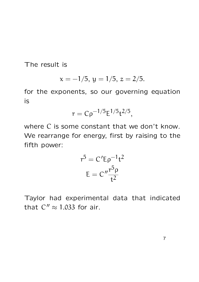The result is

$$
x = -1/5
$$
,  $y = 1/5$ ,  $z = 2/5$ .

for the exponents, so our governing equation is

$$
r = C \rho^{-1/5} E^{1/5} t^{2/5},
$$

where C is some constant that we don't know. We rearrange for energy, first by raising to the fifth power:

$$
r5 = C'E\rho-1t2
$$

$$
E = C''\frac{r5\rho}{t2}
$$

Taylor had experimental data that indicated that  $C'' \approx 1.033$  for air.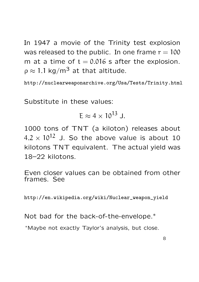In 1947 a movie of the Trinity test explosion was released to the public. In one frame  $r = 100$ m at a time of  $t = 0.016$  s after the explosion.  $\rho \approx 1.1 \text{ kg/m}^3$  at that altitude.

http://nuclearweaponarchive.org/Usa/Tests/Trinity.html

Substitute in these values:

$$
E \approx 4 \times 10^{13} \text{ J}.
$$

1000 tons of TNT (a kiloton) releases about  $4.2 \times 10^{12}$  J. So the above value is about 10 kilotons TNT equivalent. The actual yield was 18–22 kilotons.

Even closer values can be obtained from other frames. See

http://en.wikipedia.org/wiki/Nuclear\_weapon\_yield

Not bad for the back-of-the-envelope.∗

<sup>∗</sup>Maybe not exactly Taylor's analysis, but close.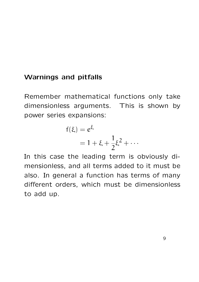## Warnings and pitfalls

Remember mathematical functions only take dimensionless arguments. This is shown by power series expansions:

$$
f(\xi) = e^{\xi}
$$
  
= 1 + \xi + \frac{1}{2}\xi^2 + \cdots

In this case the leading term is obviously dimensionless, and all terms added to it must be also. In general a function has terms of many different orders, which must be dimensionless to add up.